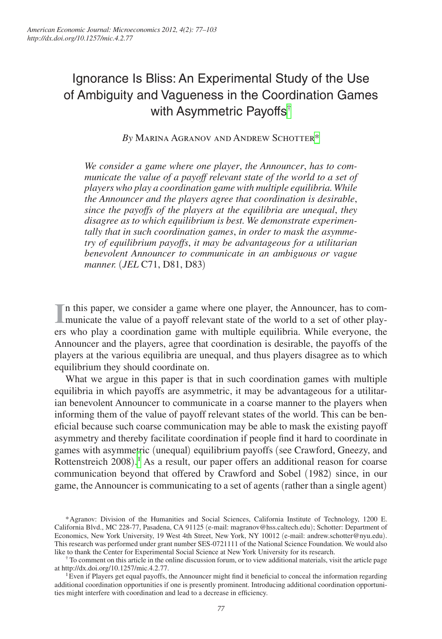# Ignorance Is Bliss: An Experimental Study of the Use of Ambiguity and Vagueness in the Coordination Games with Asymmetric Payoffs<sup>[†](#page-0-1)</sup>

*By* Marina Agranov and Andrew Schotter[\\*](#page-0-2)

*We consider a game where one player*, *the Announcer*, *has to communicate the value of a payoff relevant state of the world to a set of players who play a coordination game with multiple equilibria. While the Announcer and the players agree that coordination is desirable*, *since the payoffs of the players at the equilibria are unequal*, *they disagree as to which equilibrium is best. We demonstrate experimentally that in such coordination games*, *in order to mask the asymmetry of equilibrium payoffs*, *it may be advantageous for a utilitarian benevolent Announcer to communicate in an ambiguous or vague manner.* (*JEL* C71, D81, D83)

In this paper, we consider a game where one player, the Announcer, has to com-<br>
municate the value of a payoff relevant state of the world to a set of other playn this paper, we consider a game where one player, the Announcer, has to comers who play a coordination game with multiple equilibria. While everyone, the Announcer and the players, agree that coordination is desirable, the payoffs of the players at the various equilibria are unequal, and thus players disagree as to which equilibrium they should coordinate on.

What we argue in this paper is that in such coordination games with multiple equilibria in which payoffs are asymmetric, it may be advantageous for a utilitarian benevolent Announcer to communicate in a coarse manner to the players when informing them of the value of payoff relevant states of the world. This can be beneficial because such coarse communication may be able to mask the existing payoff asymmetry and thereby facilitate coordination if people find it hard to coordinate in games with asymmetric (unequal) equilibrium payoffs (see Crawford, Gneezy, and Rottenstreich 2008).<sup>[1](#page-0-0)</sup> As a result, our paper offers an additional reason for coarse communication beyond that offered by Crawford and Sobel (1982) since, in our game, the Announcer is communicating to a set of agents (rather than a single agent)

<span id="page-0-2"></span><sup>\*</sup>Agranov: Division of the Humanities and Social Sciences, California Institute of Technology, 1200 E. California Blvd., MC 228-77, Pasadena, CA 91125 (e-mail: magranov@hss.caltech.edu); Schotter: Department of Economics, New York University, 19 West 4th Street, New York, NY 10012 (e-mail: andrew.schotter@nyu.edu). This research was performed under grant number SES-0721111 of the National Science Foundation. We would also like to thank the Center for Experimental Social Science at New York University for its research. † To comment on this article in the online discussion forum, or to view additional materials, visit the article page

<span id="page-0-1"></span>at <http://dx.doi.org/10.1257/mic.4.2.77>.

<span id="page-0-0"></span> $1<sup>1</sup>$  Even if Players get equal payoffs, the Announcer might find it beneficial to conceal the information regarding additional coordination opportunities if one is presently prominent. Introducing additional coordination opportunities might interfere with coordination and lead to a decrease in efficiency.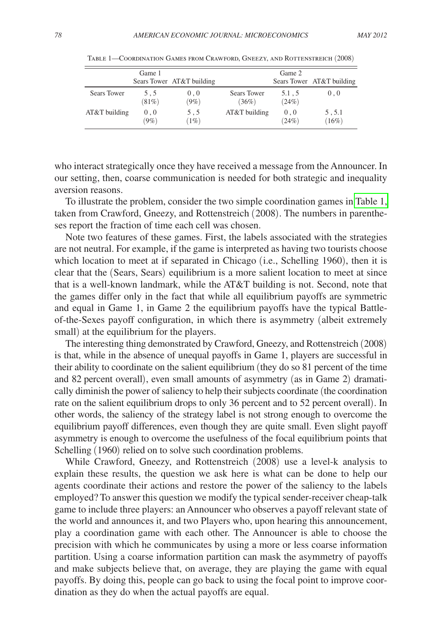|                 | Game 1          | Sears Tower AT&T building |                      | Game 2          | Sears Tower AT&T building |
|-----------------|-----------------|---------------------------|----------------------|-----------------|---------------------------|
| Sears Tower     | 5.5<br>(81%)    | 0, 0<br>(9%)              | Sears Tower<br>(36%) | 5.1, 5<br>(24%) | 0.0                       |
| $AT&T$ building | 0, 0<br>$(9\%)$ | 5.5<br>(1%)               | $AT&T$ building      | 0, 0<br>(24%)   | 5,5.1<br>(16%)            |

Table 1—Coordination Games from Crawford, Gneezy, and Rottenstreich (2008)

who interact strategically once they have received a message from the Announcer. In our setting, then, coarse communication is needed for both strategic and inequality aversion reasons.

To illustrate the problem, consider the two simple coordination games in Table 1, taken from Crawford, Gneezy, and Rottenstreich (2008). The numbers in parentheses report the fraction of time each cell was chosen.

Note two features of these games. First, the labels associated with the strategies are not neutral. For example, if the game is interpreted as having two tourists choose which location to meet at if separated in Chicago (i.e., Schelling 1960), then it is clear that the (Sears, Sears) equilibrium is a more salient location to meet at since that is a well-known landmark, while the AT&T building is not. Second, note that the games differ only in the fact that while all equilibrium payoffs are symmetric and equal in Game 1, in Game 2 the equilibrium payoffs have the typical Battleof-the-Sexes payoff configuration, in which there is asymmetry (albeit extremely small) at the equilibrium for the players.

The interesting thing demonstrated by Crawford, Gneezy, and Rottenstreich (2008) is that, while in the absence of unequal payoffs in Game 1, players are successful in their ability to coordinate on the salient equilibrium (they do so 81 percent of the time and 82 percent overall), even small amounts of asymmetry (as in Game 2) dramatically diminish the power of saliency to help their subjects coordinate (the coordination rate on the salient equilibrium drops to only 36 percent and to 52 percent overall). In other words, the saliency of the strategy label is not strong enough to overcome the equilibrium payoff differences, even though they are quite small. Even slight payoff asymmetry is enough to overcome the usefulness of the focal equilibrium points that Schelling (1960) relied on to solve such coordination problems.

While Crawford, Gneezy, and Rottenstreich (2008) use a level-k analysis to explain these results, the question we ask here is what can be done to help our agents coordinate their actions and restore the power of the saliency to the labels employed? To answer this question we modify the typical sender-receiver cheap-talk game to include three players: an Announcer who observes a payoff relevant state of the world and announces it, and two Players who, upon hearing this announcement, play a coordination game with each other. The Announcer is able to choose the precision with which he communicates by using a more or less coarse information partition. Using a coarse information partition can mask the asymmetry of payoffs and make subjects believe that, on average, they are playing the game with equal payoffs. By doing this, people can go back to using the focal point to improve coordination as they do when the actual payoffs are equal.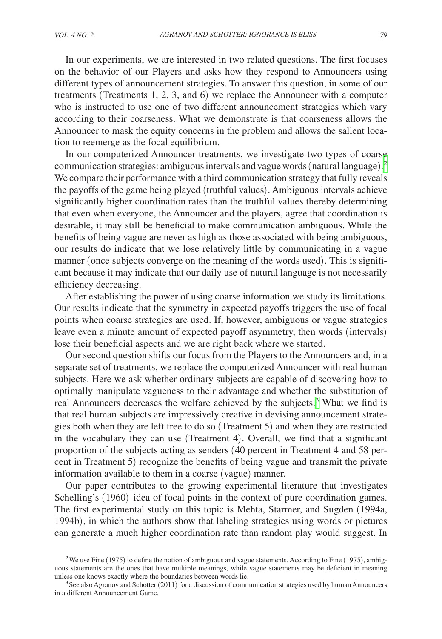In our experiments, we are interested in two related questions. The first focuses on the behavior of our Players and asks how they respond to Announcers using different types of announcement strategies. To answer this question, in some of our treatments (Treatments 1, 2, 3, and 6) we replace the Announcer with a computer who is instructed to use one of two different announcement strategies which vary according to their coarseness. What we demonstrate is that coarseness allows the Announcer to mask the equity concerns in the problem and allows the salient location to reemerge as the focal equilibrium.

In our computerized Announcer treatments, we investigate two types of coarse communication strategies: ambiguous intervals and vague words (natural language). [2](#page-2-0) We compare their performance with a third communication strategy that fully reveals the payoffs of the game being played (truthful values). Ambiguous intervals achieve significantly higher coordination rates than the truthful values thereby determining that even when everyone, the Announcer and the players, agree that coordination is desirable, it may still be beneficial to make communication ambiguous. While the benefits of being vague are never as high as those associated with being ambiguous, our results do indicate that we lose relatively little by communicating in a vague manner (once subjects converge on the meaning of the words used). This is significant because it may indicate that our daily use of natural language is not necessarily efficiency decreasing.

After establishing the power of using coarse information we study its limitations. Our results indicate that the symmetry in expected payoffs triggers the use of focal points when coarse strategies are used. If, however, ambiguous or vague strategies leave even a minute amount of expected payoff asymmetry, then words (intervals) lose their beneficial aspects and we are right back where we started.

Our second question shifts our focus from the Players to the Announcers and, in a separate set of treatments, we replace the computerized Announcer with real human subjects. Here we ask whether ordinary subjects are capable of discovering how to optimally manipulate vagueness to their advantage and whether the substitution of real Announcers decreases the welfare achieved by the subjects.<sup>3</sup> What we find is that real human subjects are impressively creative in devising announcement strategies both when they are left free to do so (Treatment 5) and when they are restricted in the vocabulary they can use (Treatment 4). Overall, we find that a significant proportion of the subjects acting as senders (40 percent in Treatment 4 and 58 percent in Treatment 5) recognize the benefits of being vague and transmit the private information available to them in a coarse (vague) manner.

Our paper contributes to the growing experimental literature that investigates Schelling's (1960) idea of focal points in the context of pure coordination games. The first experimental study on this topic is Mehta, Starmer, and Sugden (1994a, 1994b), in which the authors show that labeling strategies using words or pictures can generate a much higher coordination rate than random play would suggest. In

<span id="page-2-0"></span><sup>&</sup>lt;sup>2</sup>We use Fine (1975) to define the notion of ambiguous and vague statements. According to Fine (1975), ambiguous statements are the ones that have multiple meanings, while vague statements may be deficient in meaning unless one knows exactly where the boundaries between words lie.<br><sup>3</sup>See also Agranov and Schotter (2011) for a discussion of communication strategies used by human Announcers

<span id="page-2-1"></span>in a different Announcement Game.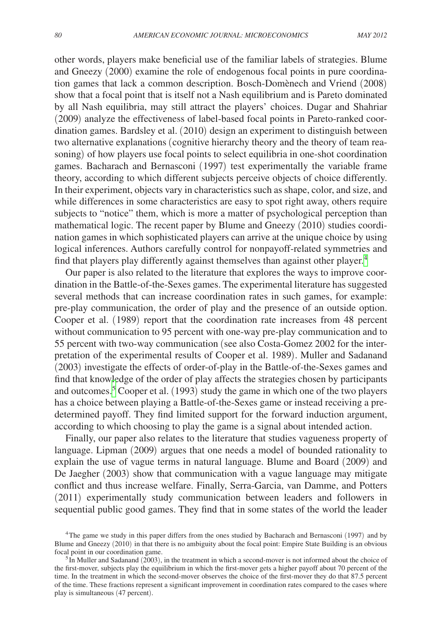other words, players make beneficial use of the familiar labels of strategies. Blume and Gneezy (2000) examine the role of endogenous focal points in pure coordination games that lack a common description. Bosch-Domènech and Vriend (2008) show that a focal point that is itself not a Nash equilibrium and is Pareto dominated by all Nash equilibria, may still attract the players' choices. Dugar and Shahriar (2009) analyze the effectiveness of label-based focal points in Pareto-ranked coordination games. Bardsley et al. (2010) design an experiment to distinguish between two alternative explanations (cognitive hierarchy theory and the theory of team reasoning) of how players use focal points to select equilibria in one-shot coordination games. Bacharach and Bernasconi (1997) test experimentally the variable frame theory, according to which different subjects perceive objects of choice differently. In their experiment, objects vary in characteristics such as shape, color, and size, and while differences in some characteristics are easy to spot right away, others require subjects to "notice" them, which is more a matter of psychological perception than mathematical logic. The recent paper by Blume and Gneezy (2010) studies coordination games in which sophisticated players can arrive at the unique choice by using logical inferences. Authors carefully control for nonpayoff-related symmetries and find that players play differently against themselves than against other player.<sup>4</sup>

Our paper is also related to the literature that explores the ways to improve coordination in the Battle-of-the-Sexes games. The experimental literature has suggested several methods that can increase coordination rates in such games, for example: pre-play communication, the order of play and the presence of an outside option. Cooper et al. (1989) report that the coordination rate increases from 48 percent without communication to 95 percent with one-way pre-play communication and to 55 percent with two-way communication (see also Costa-Gomez 2002 for the interpretation of the experimental results of Cooper et al. 1989). Muller and Sadanand (2003) investigate the effects of order-of-play in the Battle-of-the-Sexes games and find that knowledge of the order of play affects the strategies chosen by participants and outcomes.<sup>5</sup> Cooper et al.  $(1993)$  study the game in which one of the two players has a choice between playing a Battle-of-the-Sexes game or instead receiving a predetermined payoff. They find limited support for the forward induction argument, according to which choosing to play the game is a signal about intended action.

Finally, our paper also relates to the literature that studies vagueness property of language. Lipman (2009) argues that one needs a model of bounded rationality to explain the use of vague terms in natural language. Blume and Board (2009) and De Jaegher (2003) show that communication with a vague language may mitigate conflict and thus increase welfare. Finally, Serra-Garcia, van Damme, and Potters (2011) experimentally study communication between leaders and followers in sequential public good games. They find that in some states of the world the leader

<span id="page-3-0"></span><sup>4</sup>The game we study in this paper differs from the ones studied by Bacharach and Bernasconi (1997) and by Blume and Gneezy (2010) in that there is no ambiguity about the focal point: Empire State Building is an obvious focal point in our coordination game.

<span id="page-3-1"></span> ${}^5$ In Muller and Sadanand (2003), in the treatment in which a second-mover is not informed about the choice of the first-mover, subjects play the equilibrium in which the first-mover gets a higher payoff about 70 percent of the time. In the treatment in which the second-mover observes the choice of the first-mover they do that 87.5 percent of the time. These fractions represent a significant improvement in coordination rates compared to the cases where play is simultaneous (47 percent).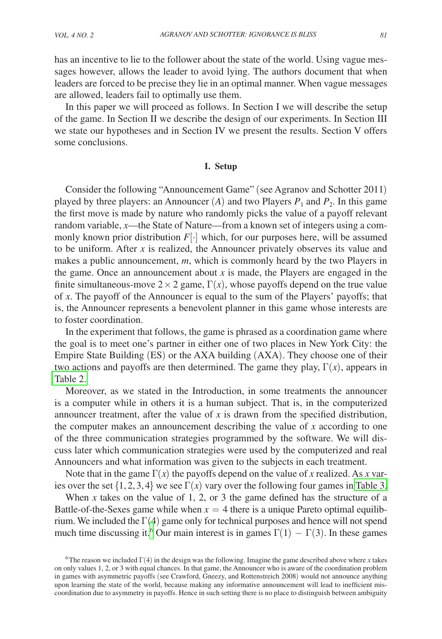<span id="page-4-0"></span>has an incentive to lie to the follower about the state of the world. Using vague messages however, allows the leader to avoid lying. The authors document that when leaders are forced to be precise they lie in an optimal manner. When vague messages are allowed, leaders fail to optimally use them.

In this paper we will proceed as follows. In Section I we will describe the setup of the game. In Section II we describe the design of our experiments. In Section III we state our hypotheses and in Section IV we present the results. Section V offers some conclusions.

#### **I. Setup**

Consider the following "Announcement Game" (see Agranov and Schotter 2011) played by three players: an Announcer  $(A)$  and two Players  $P_1$  and  $P_2$ . In this game the first move is made by nature who randomly picks the value of a payoff relevant random variable, *x*—the State of Nature—from a known set of integers using a commonly known prior distribution *F*[⋅] which, for our purposes here, will be assumed to be uniform. After *x* is realized, the Announcer privately observes its value and makes a public announcement, *m*, which is commonly heard by the two Players in the game. Once an announcement about  $x$  is made, the Players are engaged in the finite simultaneous-move  $2 \times 2$  game,  $\Gamma(x)$ , whose payoffs depend on the true value of *x*. The payoff of the Announcer is equal to the sum of the Players' payoffs; that is, the Announcer represents a benevolent planner in this game whose interests are to foster coordination.

In the experiment that follows, the game is phrased as a coordination game where the goal is to meet one's partner in either one of two places in New York City: the Empire State Building (ES) or the AXA building (AXA). They choose one of their two actions and payoffs are then determined. The game they play,  $\Gamma(x)$ , appears in [Table 2.](#page-5-0)

Moreover, as we stated in the Introduction, in some treatments the announcer is a computer while in others it is a human subject. That is, in the computerized announcer treatment, after the value of  $x$  is drawn from the specified distribution, the computer makes an announcement describing the value of *x* according to one of the three communication strategies programmed by the software. We will discuss later which communication strategies were used by the computerized and real Announcers and what information was given to the subjects in each treatment.

Note that in the game  $\Gamma(x)$  the payoffs depend on the value of *x* realized. As *x* varies over the set  $\{1,2,3,4\}$  we see  $\Gamma(x)$  vary over the following four games in [Table 3.](#page-5-0)

When  $x$  takes on the value of 1, 2, or 3 the game defined has the structure of a Battle-of-the-Sexes game while when  $x = 4$  there is a unique Pareto optimal equilibrium. We included the  $\Gamma(4)$  game only for technical purposes and hence will not spend much time discussing it.<sup>[6](#page-4-1)</sup> Our main interest is in games  $\Gamma(1) - \Gamma(3)$ . In these games

<span id="page-4-1"></span><sup>6</sup>The reason we included Γ(4) in the design was the following. Imagine the game described above where *x* takes on only values 1, 2, or 3 with equal chances. In that game, the Announcer who is aware of the coordination problem in games with asymmetric payoffs (see Crawford, Gneezy, and Rottenstreich 2008) would not announce anything upon learning the state of the world, because making any informative announcement will lead to inefficient miscoordination due to asymmetry in payoffs. Hence in such setting there is no place to distinguish between ambiguity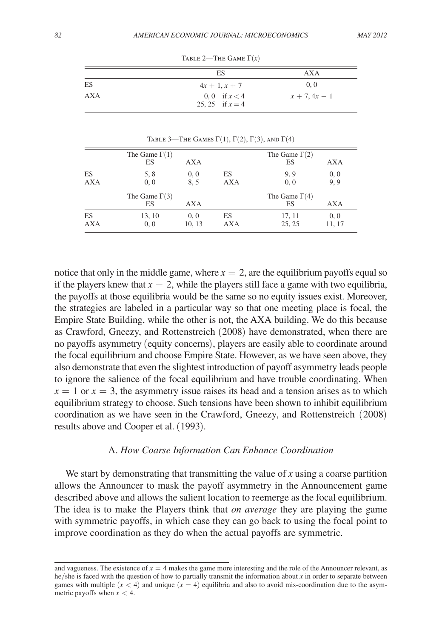<span id="page-5-0"></span>

|     | $\cdots$ = $\cdots$ = $\cdots$ = $\cdots$ |                    |
|-----|-------------------------------------------|--------------------|
|     | ES                                        | AXA                |
| ES  | $4x + 1, x + 7$                           | 0, 0               |
| AXA | 0, 0 if $x < 4$<br>25, 25 if $x = 4$      | $x + 7$ , $4x + 1$ |

Table 2—The Game Γ(*x*)

TABLE 3—THE GAMES  $\Gamma(1)$ ,  $\Gamma(2)$ ,  $\Gamma(3)$ , AND  $\Gamma(4)$ 

|            | The Game $\Gamma(1)$<br>ES | AXA        |            | The Game $\Gamma(2)$<br>ES | AXA        |
|------------|----------------------------|------------|------------|----------------------------|------------|
| ES         | 5, 8                       | 0, 0       | ES         | 9, 9                       | 0, 0       |
| <b>AXA</b> | 0, 0                       | 8.5        | <b>AXA</b> | 0, 0                       | 9.9        |
|            | The Game $\Gamma(3)$       |            |            | The Game $\Gamma(4)$       |            |
|            | ES                         | <b>AXA</b> |            | ES                         | <b>AXA</b> |
| ES         | 13, 10                     | 0, 0       | ES         | 17, 11                     | 0, 0       |
| <b>AXA</b> | 0, 0                       | 10, 13     | <b>AXA</b> | 25, 25                     | 11, 17     |

notice that only in the middle game, where  $x = 2$ , are the equilibrium payoffs equal so if the players knew that  $x = 2$ , while the players still face a game with two equilibria, the payoffs at those equilibria would be the same so no equity issues exist. Moreover, the strategies are labeled in a particular way so that one meeting place is focal, the Empire State Building, while the other is not, the AXA building. We do this because as Crawford, Gneezy, and Rottenstreich (2008) have demonstrated, when there are no payoffs asymmetry (equity concerns), players are easily able to coordinate around the focal equilibrium and choose Empire State. However, as we have seen above, they also demonstrate that even the slightest introduction of payoff asymmetry leads people to ignore the salience of the focal equilibrium and have trouble coordinating. When  $x = 1$  or  $x = 3$ , the asymmetry issue raises its head and a tension arises as to which equilibrium strategy to choose. Such tensions have been shown to inhibit equilibrium coordination as we have seen in the Crawford, Gneezy, and Rottenstreich (2008) results above and Cooper et al. (1993).

#### A. *How Coarse Information Can Enhance Coordination*

We start by demonstrating that transmitting the value of *x* using a coarse partition allows the Announcer to mask the payoff asymmetry in the Announcement game described above and allows the salient location to reemerge as the focal equilibrium. The idea is to make the Players think that *on average* they are playing the game with symmetric payoffs, in which case they can go back to using the focal point to improve coordination as they do when the actual payoffs are symmetric.

and vagueness. The existence of  $x = 4$  makes the game more interesting and the role of the Announcer relevant, as he/she is faced with the question of how to partially transmit the information about *x* in order to separate between games with multiple  $(x < 4)$  and unique  $(x = 4)$  equilibria and also to avoid mis-coordination due to the asymmetric payoffs when *x* < 4.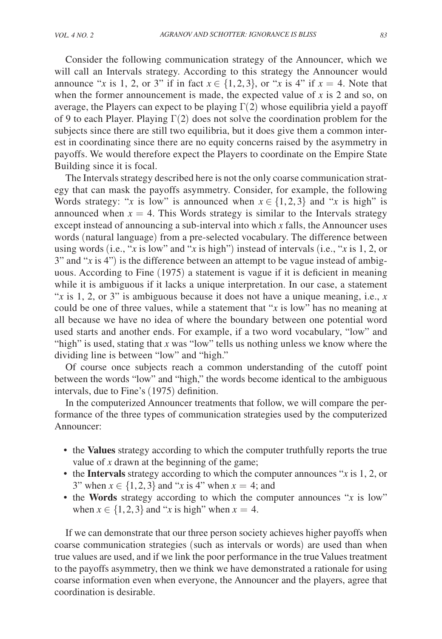Consider the following communication strategy of the Announcer, which we will call an Intervals strategy. According to this strategy the Announcer would announce "*x* is 1, 2, or 3" if in fact  $x \in \{1, 2, 3\}$ , or "*x* is 4" if  $x = 4$ . Note that when the former announcement is made, the expected value of *x* is 2 and so, on average, the Players can expect to be playing  $\Gamma(2)$  whose equilibria yield a payoff of 9 to each Player. Playing Γ(2) does not solve the coordination problem for the subjects since there are still two equilibria, but it does give them a common interest in coordinating since there are no equity concerns raised by the asymmetry in payoffs. We would therefore expect the Players to coordinate on the Empire State Building since it is focal.

The Intervals strategy described here is not the only coarse communication strategy that can mask the payoffs asymmetry. Consider, for example, the following Words strategy: "*x* is low" is announced when  $x \in \{1, 2, 3\}$  and "*x* is high" is announced when  $x = 4$ . This Words strategy is similar to the Intervals strategy except instead of announcing a sub-interval into which *x* falls, the Announcer uses words (natural language) from a pre-selected vocabulary. The difference between using words (i.e., "*x* is low" and "*x* is high") instead of intervals (i.e., "*x* is 1, 2, or  $3$ " and " $x$  is  $4$ ") is the difference between an attempt to be vague instead of ambiguous. According to Fine (1975) a statement is vague if it is deficient in meaning while it is ambiguous if it lacks a unique interpretation. In our case, a statement "*x* is 1, 2, or 3" is ambiguous because it does not have a unique meaning, i.e., *x* could be one of three values, while a statement that "*x* is low" has no meaning at all because we have no idea of where the boundary between one potential word used starts and another ends. For example, if a two word vocabulary, "low" and "high" is used, stating that *x* was "low" tells us nothing unless we know where the dividing line is between "low" and "high."

Of course once subjects reach a common understanding of the cutoff point between the words "low" and "high," the words become identical to the ambiguous intervals, due to Fine's (1975) definition.

In the computerized Announcer treatments that follow, we will compare the performance of the three types of communication strategies used by the computerized Announcer:

- • the **Values** strategy according to which the computer truthfully reports the true value of *x* drawn at the beginning of the game;
- $\bullet$  the **Intervals** strategy according to which the computer announces " $\dot{x}$  is 1, 2, or 3" when  $x \in \{1, 2, 3\}$  and "*x* is 4" when  $x = 4$ ; and
- the **Words** strategy according to which the computer announces " $x$  is low" when  $x \in \{1, 2, 3\}$  and "*x* is high" when  $x = 4$ .

If we can demonstrate that our three person society achieves higher payoffs when coarse communication strategies (such as intervals or words) are used than when true values are used, and if we link the poor performance in the true Values treatment to the payoffs asymmetry, then we think we have demonstrated a rationale for using coarse information even when everyone, the Announcer and the players, agree that coordination is desirable.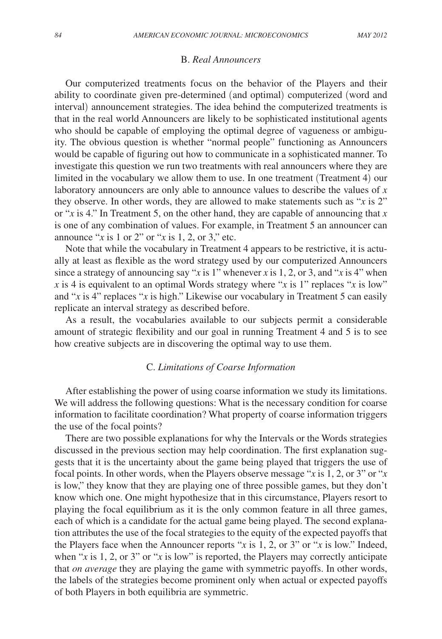#### B. *Real Announcers*

<span id="page-7-0"></span>Our computerized treatments focus on the behavior of the Players and their ability to coordinate given pre-determined (and optimal) computerized (word and interval) announcement strategies. The idea behind the computerized treatments is that in the real world Announcers are likely to be sophisticated institutional agents who should be capable of employing the optimal degree of vagueness or ambiguity. The obvious question is whether "normal people" functioning as Announcers would be capable of figuring out how to communicate in a sophisticated manner. To investigate this question we run two treatments with real announcers where they are limited in the vocabulary we allow them to use. In one treatment (Treatment 4) our laboratory announcers are only able to announce values to describe the values of *x* they observe. In other words, they are allowed to make statements such as "*x* is 2" or "*x* is 4." In Treatment 5, on the other hand, they are capable of announcing that *x* is one of any combination of values. For example, in Treatment 5 an announcer can announce " $x$  is 1 or 2" or " $x$  is 1, 2, or 3," etc.

Note that while the vocabulary in Treatment 4 appears to be restrictive, it is actually at least as flexible as the word strategy used by our computerized Announcers since a strategy of announcing say " $x$  is 1" whenever  $x$  is 1, 2, or 3, and " $x$  is 4" when *x* is 4 is equivalent to an optimal Words strategy where "*x* is 1" replaces "*x* is low" and "*x* is 4" replaces "*x* is high." Likewise our vocabulary in Treatment 5 can easily replicate an interval strategy as described before.

As a result, the vocabularies available to our subjects permit a considerable amount of strategic flexibility and our goal in running Treatment 4 and 5 is to see how creative subjects are in discovering the optimal way to use them.

### C. *Limitations of Coarse Information*

After establishing the power of using coarse information we study its limitations. We will address the following questions: What is the necessary condition for coarse information to facilitate coordination? What property of coarse information triggers the use of the focal points?

There are two possible explanations for why the Intervals or the Words strategies discussed in the previous section may help coordination. The first explanation suggests that it is the uncertainty about the game being played that triggers the use of focal points. In other words, when the Players observe message "*x* is 1, 2, or 3" or "*x* is low," they know that they are playing one of three possible games, but they don't know which one. One might hypothesize that in this circumstance, Players resort to playing the focal equilibrium as it is the only common feature in all three games, each of which is a candidate for the actual game being played. The second explanation attributes the use of the focal strategies to the equity of the expected payoffs that the Players face when the Announcer reports " $x$  is 1, 2, or 3" or " $x$  is low." Indeed, when " $x$  is 1, 2, or 3" or " $x$  is low" is reported, the Players may correctly anticipate that *on average* they are playing the game with symmetric payoffs. In other words, the labels of the strategies become prominent only when actual or expected payoffs of both Players in both equilibria are symmetric.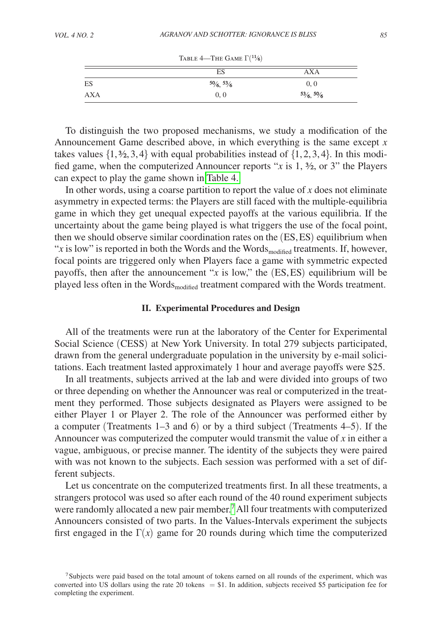<span id="page-8-0"></span>

|            | $I$ ABLE $+$ $\rightarrow$ $I$ HE UAME $I$ ( $\rightarrow$ $\bullet$ ) |            |
|------------|------------------------------------------------------------------------|------------|
|            | ES                                                                     | AXA        |
| ES         | 50/6, 53/6                                                             | 0, 0       |
| <b>AXA</b> | 0, 0                                                                   | 53/6, 50/6 |

TABLE  $A = True$  GAME  $\Gamma(11/6)$ 

To distinguish the two proposed mechanisms, we study a modification of the Announcement Game described above, in which everything is the same except *x* takes values  $\{1, 3/2, 3, 4\}$  with equal probabilities instead of  $\{1, 2, 3, 4\}$ . In this modified game, when the computerized Announcer reports " $x$  is 1,  $\frac{3}{2}$ , or 3" the Players can expect to play the game shown in Table 4.

In other words, using a coarse partition to report the value of *x* does not eliminate asymmetry in expected terms: the Players are still faced with the multiple-equilibria game in which they get unequal expected payoffs at the various equilibria. If the uncertainty about the game being played is what triggers the use of the focal point, then we should observe similar coordination rates on the (ES,ES) equilibrium when " $x$  is low" is reported in both the Words and the Words $_{\text{modified}}$  treatments. If, however, focal points are triggered only when Players face a game with symmetric expected payoffs, then after the announcement " $x$  is low," the  $(ES, ES)$  equilibrium will be played less often in the Wordsmodified treatment compared with the Words treatment.

#### **II. Experimental Procedures and Design**

All of the treatments were run at the laboratory of the Center for Experimental Social Science (CESS) at New York University. In total 279 subjects participated, drawn from the general undergraduate population in the university by e-mail solicitations. Each treatment lasted approximately 1 hour and average payoffs were \$25.

In all treatments, subjects arrived at the lab and were divided into groups of two or three depending on whether the Announcer was real or computerized in the treatment they performed. Those subjects designated as Players were assigned to be either Player 1 or Player 2. The role of the Announcer was performed either by a computer (Treatments 1–3 and 6) or by a third subject (Treatments 4–5). If the Announcer was computerized the computer would transmit the value of *x* in either a vague, ambiguous, or precise manner. The identity of the subjects they were paired with was not known to the subjects. Each session was performed with a set of different subjects.

Let us concentrate on the computerized treatments first. In all these treatments, a strangers protocol was used so after each round of the 40 round experiment subjects were randomly allocated a new pair member.<sup>[7](#page-8-1)</sup> All four treatments with computerized Announcers consisted of two parts. In the Values-Intervals experiment the subjects first engaged in the  $\Gamma(x)$  game for 20 rounds during which time the computerized

<span id="page-8-1"></span><sup>7</sup>Subjects were paid based on the total amount of tokens earned on all rounds of the experiment, which was converted into US dollars using the rate 20 tokens  $= $1$ . In addition, subjects received \$5 participation fee for completing the experiment.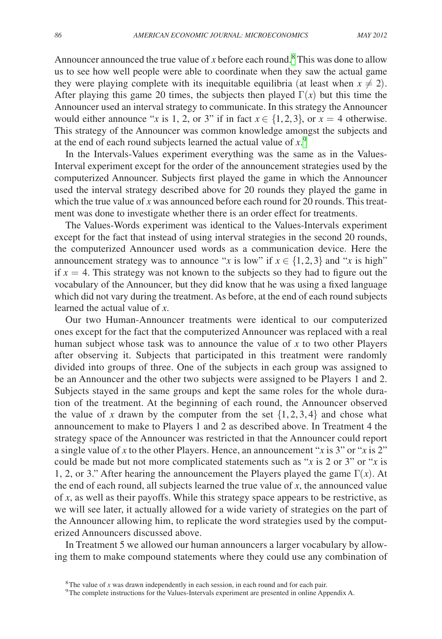Announcer announced the true value of  $x$  before each round.<sup>[8](#page-9-0)</sup> This was done to allow us to see how well people were able to coordinate when they saw the actual game they were playing complete with its inequitable equilibria (at least when  $x \neq 2$ ). After playing this game 20 times, the subjects then played  $\Gamma(x)$  but this time the Announcer used an interval strategy to communicate. In this strategy the Announcer would either announce "*x* is 1, 2, or 3" if in fact  $x \in \{1, 2, 3\}$ , or  $x = 4$  otherwise. This strategy of the Announcer was common knowledge amongst the subjects and at the end of each round subjects learned the actual value of *x*. [9](#page-9-1)

In the Intervals-Values experiment everything was the same as in the Values-Interval experiment except for the order of the announcement strategies used by the computerized Announcer. Subjects first played the game in which the Announcer used the interval strategy described above for 20 rounds they played the game in which the true value of *x* was announced before each round for 20 rounds. This treatment was done to investigate whether there is an order effect for treatments.

The Values-Words experiment was identical to the Values-Intervals experiment except for the fact that instead of using interval strategies in the second 20 rounds, the computerized Announcer used words as a communication device. Here the announcement strategy was to announce "*x* is low" if  $x \in \{1,2,3\}$  and "*x* is high" if  $x = 4$ . This strategy was not known to the subjects so they had to figure out the vocabulary of the Announcer, but they did know that he was using a fixed language which did not vary during the treatment. As before, at the end of each round subjects learned the actual value of *x*.

Our two Human-Announcer treatments were identical to our computerized ones except for the fact that the computerized Announcer was replaced with a real human subject whose task was to announce the value of *x* to two other Players after observing it. Subjects that participated in this treatment were randomly divided into groups of three. One of the subjects in each group was assigned to be an Announcer and the other two subjects were assigned to be Players 1 and 2. Subjects stayed in the same groups and kept the same roles for the whole duration of the treatment. At the beginning of each round, the Announcer observed the value of x drawn by the computer from the set  $\{1, 2, 3, 4\}$  and chose what announcement to make to Players 1 and 2 as described above. In Treatment 4 the strategy space of the Announcer was restricted in that the Announcer could report a single value of *x* to the other Players. Hence, an announcement "*x* is 3" or "*x* is 2" could be made but not more complicated statements such as "*x* is 2 or 3" or "*x* is 1, 2, or 3." After hearing the announcement the Players played the game  $\Gamma(x)$ . At the end of each round, all subjects learned the true value of *x*, the announced value of *x*, as well as their payoffs. While this strategy space appears to be restrictive, as we will see later, it actually allowed for a wide variety of strategies on the part of the Announcer allowing him, to replicate the word strategies used by the computerized Announcers discussed above.

In Treatment 5 we allowed our human announcers a larger vocabulary by allowing them to make compound statements where they could use any combination of

<span id="page-9-1"></span><span id="page-9-0"></span>

<sup>&</sup>lt;sup>8</sup>The value of *x* was drawn independently in each session, in each round and for each pair. 9The complete instructions for the Values-Intervals experiment are presented in online Appendix A.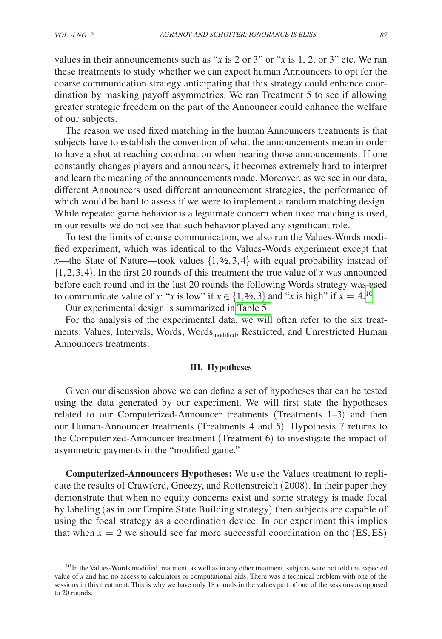<span id="page-10-0"></span>values in their announcements such as " $x$  is 2 or 3" or " $x$  is 1, 2, or 3" etc. We ran these treatments to study whether we can expect human Announcers to opt for the coarse communication strategy anticipating that this strategy could enhance coordination by masking payoff asymmetries. We ran Treatment 5 to see if allowing greater strategic freedom on the part of the Announcer could enhance the welfare of our subjects.

The reason we used fixed matching in the human Announcers treatments is that subjects have to establish the convention of what the announcements mean in order to have a shot at reaching coordination when hearing those announcements. If one constantly changes players and announcers, it becomes extremely hard to interpret and learn the meaning of the announcements made. Moreover, as we see in our data, different Announcers used different announcement strategies, the performance of which would be hard to assess if we were to implement a random matching design. While repeated game behavior is a legitimate concern when fixed matching is used, in our results we do not see that such behavior played any significant role.

To test the limits of course communication, we also run the Values-Words modified experiment, which was identical to the Values-Words experiment except that *x*—the State of Nature—took values  $\{1, 3/2, 3, 4\}$  with equal probability instead of {1,2,3,4}. In the first 20 rounds of this treatment the true value of *x* was announced before each round and in the last 20 rounds the following Words strategy was used to communicate value of *x*: "*x* is low" if  $x \in \{1, 3/2, 3\}$  and "*x* is high" if  $x = 4$ .<sup>[10](#page-10-1)</sup>

Our experimental design is summarized in [Table 5.](#page-11-0)

For the analysis of the experimental data, we will often refer to the six treatments: Values, Intervals, Words, Words<sub>modified</sub>, Restricted, and Unrestricted Human Announcers treatments.

#### **III. Hypotheses**

Given our discussion above we can define a set of hypotheses that can be tested using the data generated by our experiment. We will first state the hypotheses related to our Computerized-Announcer treatments (Treatments 1–3) and then our Human-Announcer treatments (Treatments 4 and 5). Hypothesis 7 returns to the Computerized-Announcer treatment (Treatment 6) to investigate the impact of asymmetric payments in the "modified game."

**Computerized-Announcers Hypotheses:** We use the Values treatment to replicate the results of Crawford, Gneezy, and Rottenstreich (2008). In their paper they demonstrate that when no equity concerns exist and some strategy is made focal by labeling (as in our Empire State Building strategy) then subjects are capable of using the focal strategy as a coordination device. In our experiment this implies that when  $x = 2$  we should see far more successful coordination on the  $(ES, ES)$ 

<span id="page-10-1"></span><sup>&</sup>lt;sup>10</sup>In the Values-Words modified treatment, as well as in any other treatment, subjects were not told the expected value of *x* and had no access to calculators or computational aids. There was a technical problem with one of the sessions in this treatment. This is why we have only 18 rounds in the values part of one of the sessions as opposed to 20 rounds.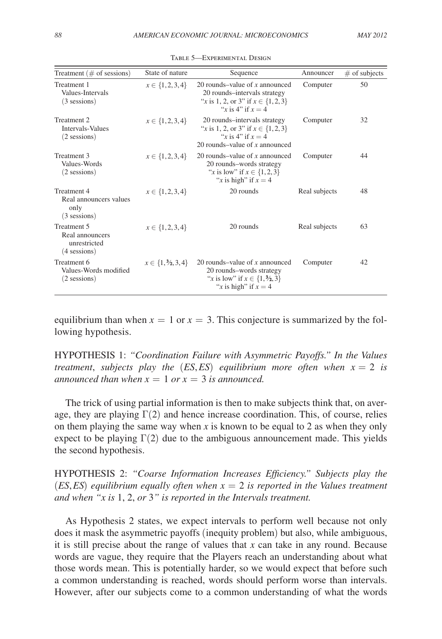<span id="page-11-0"></span>

| Treatment ( $#$ of sessions)                                     | State of nature          | Sequence                                                                                                                          | Announcer     | $#$ of subjects |
|------------------------------------------------------------------|--------------------------|-----------------------------------------------------------------------------------------------------------------------------------|---------------|-----------------|
| Treatment 1<br>Values-Intervals<br>$(3$ sessions)                | $x \in \{1, 2, 3, 4\}$   | 20 rounds-value of x announced<br>20 rounds-intervals strategy<br>"x is 1, 2, or 3" if $x \in \{1,2,3\}$<br>"x is 4" if $x = 4$ " | Computer      | 50              |
| Treatment 2<br>Intervals-Values<br>$(2$ sessions)                | $x \in \{1, 2, 3, 4\}$   | 20 rounds-intervals strategy<br>"x is 1, 2, or 3" if $x \in \{1,2,3\}$<br>"x is 4" if $x = 4$<br>20 rounds-value of $x$ announced | Computer      | 32              |
| Treatment 3<br>Values-Words<br>$(2$ sessions)                    | $x \in \{1, 2, 3, 4\}$   | 20 rounds-value of x announced<br>20 rounds-words strategy<br>"x is low" if $x \in \{1, 2, 3\}$<br>"x is high" if $x = 4$         | Computer      | 44              |
| Treatment 4<br>Real announcers values<br>only<br>$(3$ sessions)  | $x \in \{1, 2, 3, 4\}$   | 20 rounds                                                                                                                         | Real subjects | 48              |
| Treatment 5<br>Real announcers<br>unrestricted<br>$(4$ sessions) | $x \in \{1, 2, 3, 4\}$   | 20 rounds                                                                                                                         | Real subjects | 63              |
| Treatment 6<br>Values-Words modified<br>$(2$ sessions)           | $x \in \{1, 3/2, 3, 4\}$ | 20 rounds-value of $x$ announced<br>20 rounds-words strategy<br>"x is low" if $x \in \{1, 3/2, 3\}$<br>"x is high" if $x = 4$     | Computer      | 42              |

Table 5—Experimental Design

equilibrium than when  $x = 1$  or  $x = 3$ . This conjecture is summarized by the following hypothesis.

Hypothesis 1: *"Coordination Failure with Asymmetric Payoffs." In the Values treatment, subjects play the*  $(ES, ES)$  *equilibrium more often when*  $x = 2$  *is announced than when*  $x = 1$  *or*  $x = 3$  *is announced.* 

The trick of using partial information is then to make subjects think that, on average, they are playing  $\Gamma(2)$  and hence increase coordination. This, of course, relies on them playing the same way when  $x$  is known to be equal to 2 as when they only expect to be playing  $\Gamma(2)$  due to the ambiguous announcement made. This yields the second hypothesis.

Hypothesis 2: *"Coarse Information Increases Efficiency." Subjects play the*   $(ES, ES)$  equilibrium equally often when  $x = 2$  is reported in the Values treatment *and when "x is* 1, 2, *or* 3*" is reported in the Intervals treatment.*

As Hypothesis 2 states, we expect intervals to perform well because not only does it mask the asymmetric payoffs (inequity problem) but also, while ambiguous, it is still precise about the range of values that  $x$  can take in any round. Because words are vague, they require that the Players reach an understanding about what those words mean. This is potentially harder, so we would expect that before such a common understanding is reached, words should perform worse than intervals. However, after our subjects come to a common understanding of what the words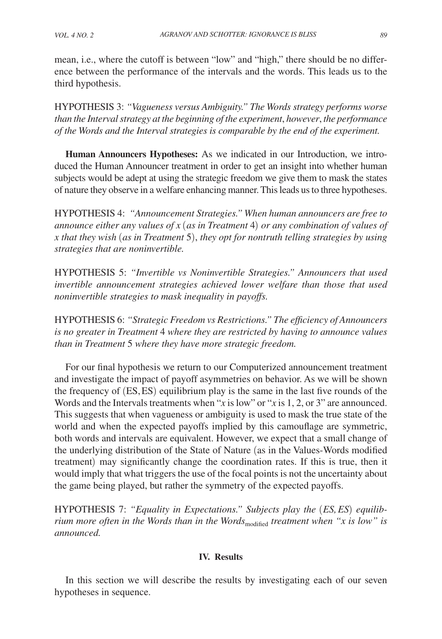<span id="page-12-0"></span>mean, i.e., where the cutoff is between "low" and "high," there should be no difference between the performance of the intervals and the words. This leads us to the third hypothesis.

Hypothesis 3: *"Vagueness versus Ambiguity." The Words strategy performs worse than the Interval strategy at the beginning of the experiment*, *however*, *the performance of the Words and the Interval strategies is comparable by the end of the experiment.*

**Human Announcers Hypotheses:** As we indicated in our Introduction, we introduced the Human Announcer treatment in order to get an insight into whether human subjects would be adept at using the strategic freedom we give them to mask the states of nature they observe in a welfare enhancing manner. This leads us to three hypotheses.

Hypothesis 4: *"Announcement Strategies." When human announcers are free to announce either any values of x* (*as in Treatment* 4) *or any combination of values of x that they wish* (*as in Treatment* 5), *they opt for nontruth telling strategies by using strategies that are noninvertible.*

Hypothesis 5: *"Invertible vs Noninvertible Strategies." Announcers that used invertible announcement strategies achieved lower welfare than those that used noninvertible strategies to mask inequality in payoffs.*

Hypothesis 6: *"Strategic Freedom vs Restrictions." The efficiency of Announcers is no greater in Treatment* 4 *where they are restricted by having to announce values than in Treatment* 5 *where they have more strategic freedom.*

For our final hypothesis we return to our Computerized announcement treatment and investigate the impact of payoff asymmetries on behavior. As we will be shown the frequency of (ES,ES) equilibrium play is the same in the last five rounds of the Words and the Intervals treatments when "*x* is low" or "*x* is 1, 2, or 3" are announced. This suggests that when vagueness or ambiguity is used to mask the true state of the world and when the expected payoffs implied by this camouflage are symmetric, both words and intervals are equivalent. However, we expect that a small change of the underlying distribution of the State of Nature (as in the Values-Words modified treatment) may significantly change the coordination rates. If this is true, then it would imply that what triggers the use of the focal points is not the uncertainty about the game being played, but rather the symmetry of the expected payoffs.

Hypothesis 7: *"Equality in Expectations." Subjects play the* (*ES,ES*) *equilibrium more often in the Words than in the Words*<sub>modified</sub> treatment when "x is low" is *announced.*

#### **IV. Results**

In this section we will describe the results by investigating each of our seven hypotheses in sequence.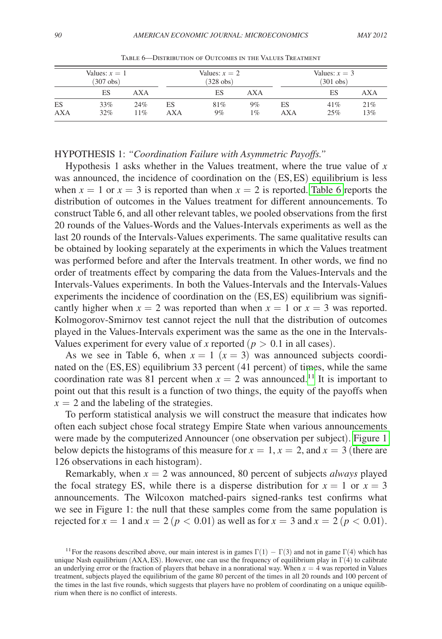|                  | Values: $x = 1$<br>$(307 \text{ obs})$ |            |           | Values: $x = 2$<br>$(328$ obs) |             |           | Values: $x = 3$<br>$(301$ obs) |            |
|------------------|----------------------------------------|------------|-----------|--------------------------------|-------------|-----------|--------------------------------|------------|
|                  | ES                                     | AXA        |           | ES                             | AXA         |           | ES                             | AXA        |
| ES<br><b>AXA</b> | 33%<br>32%                             | 24%<br>11% | ES<br>AXA | 81%<br>9%                      | 9%<br>$1\%$ | ES<br>AXA | 41%<br>25%                     | 21%<br>13% |

Table 6—Distribution of Outcomes in the Values Treatment

#### Hypothesis 1: *"Coordination Failure with Asymmetric Payoffs."*

Hypothesis 1 asks whether in the Values treatment, where the true value of *x* was announced, the incidence of coordination on the (ES,ES) equilibrium is less when  $x = 1$  or  $x = 3$  is reported than when  $x = 2$  is reported. Table 6 reports the distribution of outcomes in the Values treatment for different announcements. To construct Table 6, and all other relevant tables, we pooled observations from the first 20 rounds of the Values-Words and the Values-Intervals experiments as well as the last 20 rounds of the Intervals-Values experiments. The same qualitative results can be obtained by looking separately at the experiments in which the Values treatment was performed before and after the Intervals treatment. In other words, we find no order of treatments effect by comparing the data from the Values-Intervals and the Intervals-Values experiments. In both the Values-Intervals and the Intervals-Values experiments the incidence of coordination on the (ES,ES) equilibrium was significantly higher when  $x = 2$  was reported than when  $x = 1$  or  $x = 3$  was reported. Kolmogorov-Smirnov test cannot reject the null that the distribution of outcomes played in the Values-Intervals experiment was the same as the one in the Intervals-Values experiment for every value of *x* reported ( $p > 0.1$  in all cases).

As we see in Table 6, when  $x = 1$   $(x = 3)$  was announced subjects coordinated on the (ES,ES) equilibrium 33 percent (41 percent) of times, while the same coordination rate was 81 percent when  $x = 2$  was announced.<sup>11</sup> It is important to point out that this result is a function of two things, the equity of the payoffs when  $x = 2$  and the labeling of the strategies.

To perform statistical analysis we will construct the measure that indicates how often each subject chose focal strategy Empire State when various announcements were made by the computerized Announcer (one observation per subject). [Figure 1](#page-14-0)  below depicts the histograms of this measure for  $x = 1$ ,  $x = 2$ , and  $x = 3$  (there are 126 observations in each histogram).

Remarkably, when  $x = 2$  was announced, 80 percent of subjects *always* played the focal strategy ES, while there is a disperse distribution for  $x = 1$  or  $x = 3$ announcements. The Wilcoxon matched-pairs signed-ranks test confirms what we see in Figure 1: the null that these samples come from the same population is rejected for  $x = 1$  and  $x = 2$  ( $p < 0.01$ ) as well as for  $x = 3$  and  $x = 2$  ( $p < 0.01$ ).

<span id="page-13-0"></span><sup>&</sup>lt;sup>11</sup> For the reasons described above, our main interest is in games  $\Gamma(1) - \Gamma(3)$  and not in game  $\Gamma(4)$  which has unique Nash equilibrium (AXA,ES). However, one can use the frequency of equilibrium play in  $\Gamma(4)$  to calibrate an underlying error or the fraction of players that behave in a nonrational way. When  $x = 4$  was reported in Values treatment, subjects played the equilibrium of the game 80 percent of the times in all 20 rounds and 100 percent of the times in the last five rounds, which suggests that players have no problem of coordinating on a unique equilibrium when there is no conflict of interests.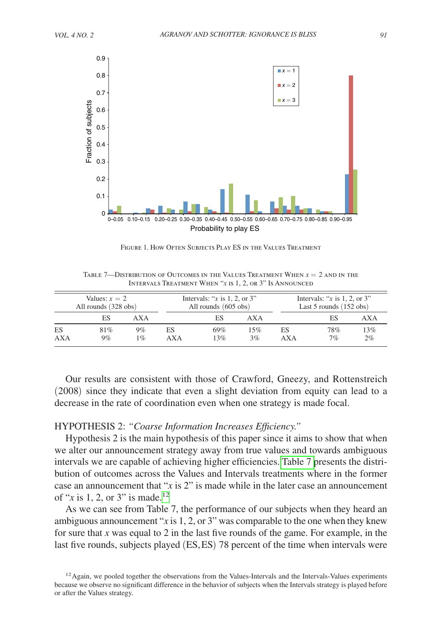<span id="page-14-0"></span>

Figure 1. How Often Subjects Play ES in the Values Treatment

Table 7—Distribution of Outcomes in the Values Treatment When *x* = 2 and in the Intervals Treatment When "*x* is 1, 2, or 3" Is Announced

|           | Values: $x = 2$<br>All rounds (328 obs) |             |           | Intervals: " $x$ is 1, 2, or 3"<br>All rounds (605 obs) |           |           | Intervals: " $x$ is 1, 2, or 3"<br>Last 5 rounds $(152 \text{ obs})$ |           |
|-----------|-----------------------------------------|-------------|-----------|---------------------------------------------------------|-----------|-----------|----------------------------------------------------------------------|-----------|
|           | ES                                      | AXA         |           | ES                                                      | AXA       |           | ES                                                                   | AXA       |
| ES<br>AXA | 81%<br>9%                               | $9\%$<br>1% | ES<br>AXA | 69%<br>13%                                              | 15%<br>3% | ES<br>AXA | 78%<br>$7\%$                                                         | 13%<br>2% |

Our results are consistent with those of Crawford, Gneezy, and Rottenstreich (2008) since they indicate that even a slight deviation from equity can lead to a decrease in the rate of coordination even when one strategy is made focal.

#### Hypothesis 2: *"Coarse Information Increases Efficiency."*

Hypothesis 2 is the main hypothesis of this paper since it aims to show that when we alter our announcement strategy away from true values and towards ambiguous intervals we are capable of achieving higher efficiencies. Table 7 presents the distribution of outcomes across the Values and Intervals treatments where in the former case an announcement that "*x* is 2" is made while in the later case an announcement of "*x* is 1, 2, or 3" is made[.12](#page-14-1)

As we can see from Table 7, the performance of our subjects when they heard an ambiguous announcement " $x$  is 1, 2, or 3" was comparable to the one when they knew for sure that *x* was equal to 2 in the last five rounds of the game. For example, in the last five rounds, subjects played (ES,ES) 78 percent of the time when intervals were

<span id="page-14-1"></span><sup>12</sup> Again, we pooled together the observations from the Values-Intervals and the Intervals-Values experiments because we observe no significant difference in the behavior of subjects when the Intervals strategy is played before or after the Values strategy.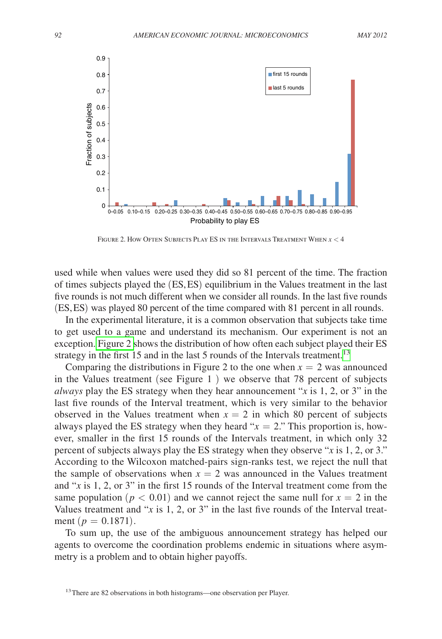

Figure 2. How Often Subjects Play ES in the Intervals Treatment When *x* < 4

used while when values were used they did so 81 percent of the time. The fraction of times subjects played the (ES,ES) equilibrium in the Values treatment in the last five rounds is not much different when we consider all rounds. In the last five rounds (ES,ES) was played 80 percent of the time compared with 81 percent in all rounds.

In the experimental literature, it is a common observation that subjects take time to get used to a game and understand its mechanism. Our experiment is not an exception. Figure 2 shows the distribution of how often each subject played their ES strategy in the first 15 and in the last 5 rounds of the Intervals treatment.<sup>[13](#page-15-0)</sup>

Comparing the distributions in Figure 2 to the one when  $x = 2$  was announced in the Values treatment (see Figure 1 ) we observe that 78 percent of subjects *always* play the ES strategy when they hear announcement "*x* is 1, 2, or 3" in the last five rounds of the Interval treatment, which is very similar to the behavior observed in the Values treatment when  $x = 2$  in which 80 percent of subjects always played the ES strategy when they heard " $x = 2$ ." This proportion is, however, smaller in the first 15 rounds of the Intervals treatment, in which only 32 percent of subjects always play the ES strategy when they observe "*x* is 1, 2, or 3." According to the Wilcoxon matched-pairs sign-ranks test, we reject the null that the sample of observations when  $x = 2$  was announced in the Values treatment and "*x* is 1, 2, or 3" in the first 15 rounds of the Interval treatment come from the same population ( $p < 0.01$ ) and we cannot reject the same null for  $x = 2$  in the Values treatment and " $x$  is 1, 2, or 3" in the last five rounds of the Interval treatment ( $p = 0.1871$ ).

To sum up, the use of the ambiguous announcement strategy has helped our agents to overcome the coordination problems endemic in situations where asymmetry is a problem and to obtain higher payoffs.

<span id="page-15-0"></span><sup>&</sup>lt;sup>13</sup>There are 82 observations in both histograms—one observation per Player.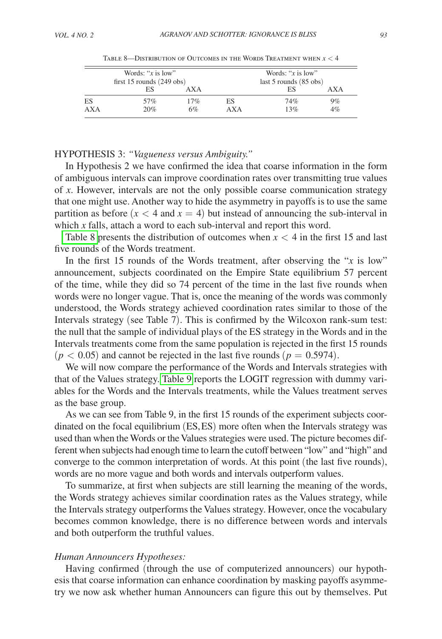|            | Words: " $x$ is low"          |     |     | Words: " $x$ is low"       |       |
|------------|-------------------------------|-----|-----|----------------------------|-------|
|            | first $15$ rounds $(249$ obs) |     |     | last $5$ rounds $(85$ obs) |       |
|            | ES                            | AXA |     | ES                         | AXA   |
| ES         | 57%                           | 17% | ES  | 74%                        | 9%    |
| <b>AXA</b> | 20%                           | 6%  | AXA | 13%                        | $4\%$ |

Table 8—Distribution of Outcomes in the Words Treatment when *x* < 4

#### Hypothesis 3: *"Vagueness versus Ambiguity."*

In Hypothesis 2 we have confirmed the idea that coarse information in the form of ambiguous intervals can improve coordination rates over transmitting true values of *x*. However, intervals are not the only possible coarse communication strategy that one might use. Another way to hide the asymmetry in payoffs is to use the same partition as before  $(x < 4$  and  $x = 4)$  but instead of announcing the sub-interval in which *x* falls, attach a word to each sub-interval and report this word.

Table 8 presents the distribution of outcomes when  $x < 4$  in the first 15 and last five rounds of the Words treatment.

In the first 15 rounds of the Words treatment, after observing the " $x$  is low" announcement, subjects coordinated on the Empire State equilibrium 57 percent of the time, while they did so 74 percent of the time in the last five rounds when words were no longer vague. That is, once the meaning of the words was commonly understood, the Words strategy achieved coordination rates similar to those of the Intervals strategy (see Table 7). This is confirmed by the Wilcoxon rank-sum test: the null that the sample of individual plays of the ES strategy in the Words and in the Intervals treatments come from the same population is rejected in the first 15 rounds  $(p < 0.05)$  and cannot be rejected in the last five rounds  $(p = 0.5974)$ .

We will now compare the performance of the Words and Intervals strategies with that of the Values strategy. [Table 9](#page-17-0) reports the LOGIT regression with dummy variables for the Words and the Intervals treatments, while the Values treatment serves as the base group.

As we can see from Table 9, in the first 15 rounds of the experiment subjects coordinated on the focal equilibrium (ES,ES) more often when the Intervals strategy was used than when the Words or the Values strategies were used. The picture becomes different when subjects had enough time to learn the cutoff between "low" and "high" and converge to the common interpretation of words. At this point (the last five rounds), words are no more vague and both words and intervals outperform values.

To summarize, at first when subjects are still learning the meaning of the words, the Words strategy achieves similar coordination rates as the Values strategy, while the Intervals strategy outperforms the Values strategy. However, once the vocabulary becomes common knowledge, there is no difference between words and intervals and both outperform the truthful values.

#### *Human Announcers Hypotheses:*

Having confirmed (through the use of computerized announcers) our hypothesis that coarse information can enhance coordination by masking payoffs asymmetry we now ask whether human Announcers can figure this out by themselves. Put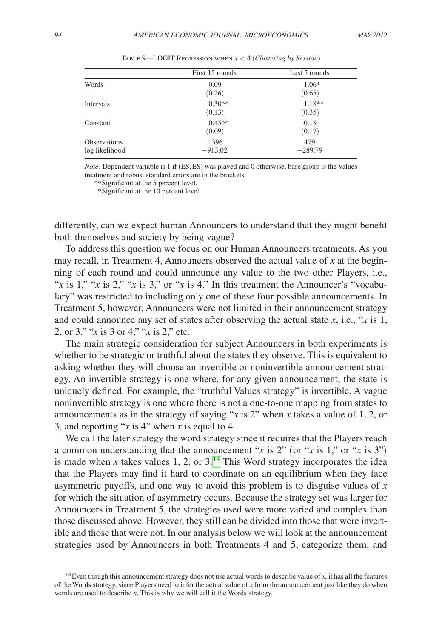<span id="page-17-0"></span>

|                     | First 15 rounds | Last 5 rounds |
|---------------------|-----------------|---------------|
|                     |                 |               |
| Words               | 0.09            | $1.06*$       |
|                     | (0.26)          | (0.65)        |
| Intervals           | $0.30**$        | $1.18**$      |
|                     | (0.13)          | (0.35)        |
| Constant            | $0.45**$        | 0.18          |
|                     | (0.09)          | (0.17)        |
| <b>Observations</b> | 1,396           | 479           |
| log likelihood      | $-913.02$       | $-289.79$     |
|                     |                 |               |

Table 9—LOGIT Regression when *x* < 4 (*Clustering by Session*)

*Note:* Dependent variable is 1 if (ES,ES) was played and 0 otherwise, base group is the Values treatment and robust standard errors are in the brackets.

*\*\**Significant at the 5 percent level.

*\**Significant at the 10 percent level.

differently, can we expect human Announcers to understand that they might benefit both themselves and society by being vague?

To address this question we focus on our Human Announcers treatments. As you may recall, in Treatment 4, Announcers observed the actual value of *x* at the beginning of each round and could announce any value to the two other Players, i.e., "*x* is 1," "*x* is 2," "*x* is 3," or "*x* is 4." In this treatment the Announcer's "vocabulary" was restricted to including only one of these four possible announcements. In Treatment 5, however, Announcers were not limited in their announcement strategy and could announce any set of states after observing the actual state *x*, i.e., "*x* is 1, 2, or 3," "*x* is 3 or 4," "*x* is 2," etc.

The main strategic consideration for subject Announcers in both experiments is whether to be strategic or truthful about the states they observe. This is equivalent to asking whether they will choose an invertible or noninvertible announcement strategy. An invertible strategy is one where, for any given announcement, the state is uniquely defined. For example, the "truthful Values strategy" is invertible. A vague noninvertible strategy is one where there is not a one-to-one mapping from states to announcements as in the strategy of saying " $x$  is 2" when x takes a value of 1, 2, or 3, and reporting "*x* is 4" when *x* is equal to 4.

We call the later strategy the word strategy since it requires that the Players reach a common understanding that the announcement "*x* is 2" (or "*x* is 1," or "*x* is 3") is made when *x* takes values 1, 2, or  $3^{14}$  $3^{14}$  $3^{14}$ . This Word strategy incorporates the idea that the Players may find it hard to coordinate on an equilibrium when they face asymmetric payoffs, and one way to avoid this problem is to disguise values of *x* for which the situation of asymmetry occurs. Because the strategy set was larger for Announcers in Treatment 5, the strategies used were more varied and complex than those discussed above. However, they still can be divided into those that were invertible and those that were not. In our analysis below we will look at the announcement strategies used by Announcers in both Treatments 4 and 5, categorize them, and

<span id="page-17-1"></span><sup>&</sup>lt;sup>14</sup>Even though this announcement strategy does not use actual words to describe value of  $x$ , it has all the features of the Words strategy, since Players need to infer the actual value of  $x$  from the announcement just like they do when words are used to describe *x*. This is why we will call it the Words strategy.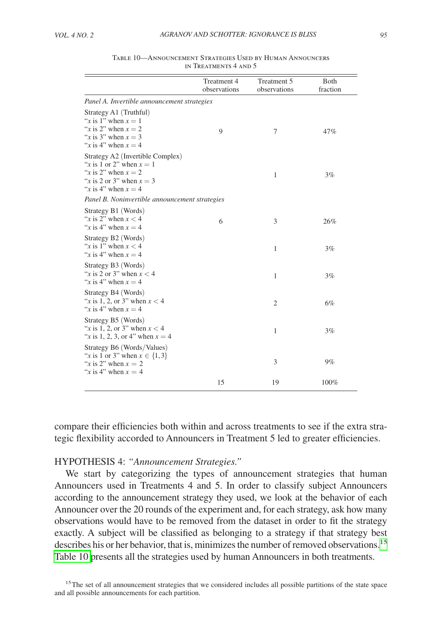|                                                                                                                                                  | Treatment 4<br>observations | Treatment 5<br>observations | Both<br>fraction |
|--------------------------------------------------------------------------------------------------------------------------------------------------|-----------------------------|-----------------------------|------------------|
| Panel A. Invertible announcement strategies                                                                                                      |                             |                             |                  |
| Strategy A1 (Truthful)<br>"x is 1" when $x = 1$ "<br>"x is 2" when $x = 2$<br>"x is 3" when $x = 3$ "<br>"x is 4" when $x = 4$                   | 9                           | 7                           | 47%              |
| Strategy A2 (Invertible Complex)<br>"x is 1 or 2" when $x = 1$<br>"x is 2" when $x = 2$<br>"x is 2 or 3" when $x = 3$ "<br>"x is 4" when $x = 4$ |                             | $\mathbf{1}$                | 3%               |
| Panel B. Noninvertible announcement strategies                                                                                                   |                             |                             |                  |
| Strategy B1 (Words)<br>"x is 2" when $x < 4$<br>"x is 4" when $x = 4$                                                                            | 6                           | 3                           | 26%              |
| Strategy B2 (Words)<br>"x is 1" when $x < 4$<br>"x is 4" when $x = 4$                                                                            |                             | 1                           | 3%               |
| Strategy B3 (Words)<br>"x is 2 or 3" when $x < 4$<br>"x is 4" when $x = 4$                                                                       |                             | 1                           | 3%               |
| Strategy B4 (Words)<br>"x is 1, 2, or 3" when $x < 4$<br>"x is 4" when $x = 4$                                                                   |                             | $\overline{2}$              | 6%               |
| Strategy B5 (Words)<br>"x is 1, 2, or 3" when $x < 4$<br>"x is 1, 2, 3, or 4" when $x = 4$                                                       |                             | 1                           | 3%               |
| Strategy B6 (Words/Values)<br>"x is 1 or 3" when $x \in \{1,3\}$<br>"x is 2" when $x = 2$<br>"x is 4" when $x = 4$                               |                             | 3                           | 9%               |
|                                                                                                                                                  | 15                          | 19                          | 100%             |

| Table 10—Announcement Strategies Used by Human Announcers |  |
|-----------------------------------------------------------|--|
| IN TREATMENTS 4 AND 5                                     |  |

compare their efficiencies both within and across treatments to see if the extra strategic flexibility accorded to Announcers in Treatment 5 led to greater efficiencies.

## Hypothesis 4: *"Announcement Strategies."*

We start by categorizing the types of announcement strategies that human Announcers used in Treatments 4 and 5. In order to classify subject Announcers according to the announcement strategy they used, we look at the behavior of each Announcer over the 20 rounds of the experiment and, for each strategy, ask how many observations would have to be removed from the dataset in order to fit the strategy exactly. A subject will be classified as belonging to a strategy if that strategy best describes his or her behavior, that is, minimizes the number of removed observations.<sup>15</sup> Table 10 presents all the strategies used by human Announcers in both treatments.

<span id="page-18-0"></span><sup>&</sup>lt;sup>15</sup>The set of all announcement strategies that we considered includes all possible partitions of the state space and all possible announcements for each partition.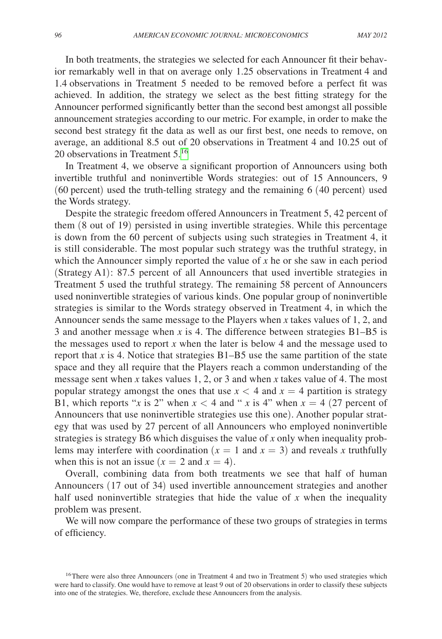In both treatments, the strategies we selected for each Announcer fit their behavior remarkably well in that on average only 1.25 observations in Treatment 4 and 1.4 observations in Treatment 5 needed to be removed before a perfect fit was achieved. In addition, the strategy we select as the best fitting strategy for the Announcer performed significantly better than the second best amongst all possible announcement strategies according to our metric. For example, in order to make the second best strategy fit the data as well as our first best, one needs to remove, on average, an additional 8.5 out of 20 observations in Treatment 4 and 10.25 out of 20 observations in Treatment 5.[16](#page-19-0)

In Treatment 4, we observe a significant proportion of Announcers using both invertible truthful and noninvertible Words strategies: out of 15 Announcers, 9 (60 percent) used the truth-telling strategy and the remaining 6 (40 percent) used the Words strategy.

Despite the strategic freedom offered Announcers in Treatment 5, 42 percent of them (8 out of 19) persisted in using invertible strategies. While this percentage is down from the 60 percent of subjects using such strategies in Treatment 4, it is still considerable. The most popular such strategy was the truthful strategy, in which the Announcer simply reported the value of *x* he or she saw in each period (Strategy A1): 87.5 percent of all Announcers that used invertible strategies in Treatment 5 used the truthful strategy. The remaining 58 percent of Announcers used noninvertible strategies of various kinds. One popular group of noninvertible strategies is similar to the Words strategy observed in Treatment 4, in which the Announcer sends the same message to the Players when *x* takes values of 1, 2, and 3 and another message when *x* is 4. The difference between strategies B1–B5 is the messages used to report *x* when the later is below 4 and the message used to report that  $x$  is 4. Notice that strategies  $B1 - B5$  use the same partition of the state space and they all require that the Players reach a common understanding of the message sent when *x* takes values 1, 2, or 3 and when *x* takes value of 4. The most popular strategy amongst the ones that use  $x < 4$  and  $x = 4$  partition is strategy B1, which reports "*x* is 2" when  $x < 4$  and " *x* is 4" when  $x = 4$  (27 percent of Announcers that use noninvertible strategies use this one). Another popular strategy that was used by 27 percent of all Announcers who employed noninvertible strategies is strategy B6 which disguises the value of *x* only when inequality problems may interfere with coordination  $(x = 1 \text{ and } x = 3)$  and reveals x truthfully when this is not an issue  $(x = 2 \text{ and } x = 4)$ .

Overall, combining data from both treatments we see that half of human Announcers (17 out of 34) used invertible announcement strategies and another half used noninvertible strategies that hide the value of *x* when the inequality problem was present.

We will now compare the performance of these two groups of strategies in terms of efficiency.

<span id="page-19-0"></span><sup>16</sup>There were also three Announcers (one in Treatment 4 and two in Treatment 5) who used strategies which were hard to classify. One would have to remove at least 9 out of 20 observations in order to classify these subjects into one of the strategies. We, therefore, exclude these Announcers from the analysis.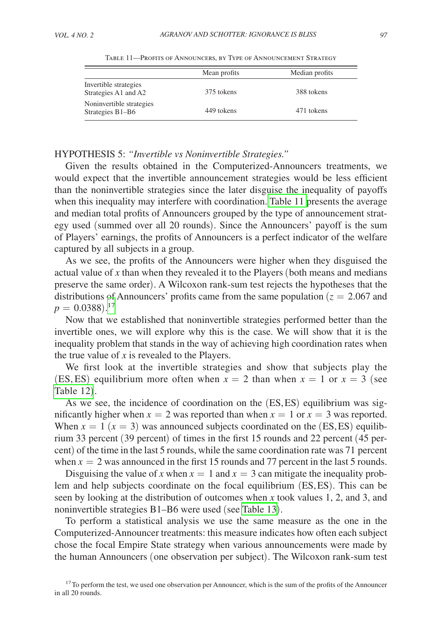|                                               | Mean profits | Median profits |
|-----------------------------------------------|--------------|----------------|
| Invertible strategies<br>Strategies A1 and A2 | 375 tokens   | 388 tokens     |
| Noninvertible strategies<br>Strategies B1-B6  | 449 tokens   | 471 tokens     |

Table 11—Profits of Announcers, by Type of Announcement Strategy

#### Hypothesis 5: *"Invertible vs Noninvertible Strategies."*

Given the results obtained in the Computerized-Announcers treatments, we would expect that the invertible announcement strategies would be less efficient than the noninvertible strategies since the later disguise the inequality of payoffs when this inequality may interfere with coordination. Table 11 presents the average and median total profits of Announcers grouped by the type of announcement strategy used (summed over all 20 rounds). Since the Announcers' payoff is the sum of Players' earnings, the profits of Announcers is a perfect indicator of the welfare captured by all subjects in a group.

As we see, the profits of the Announcers were higher when they disguised the actual value of *x* than when they revealed it to the Players (both means and medians preserve the same order). A Wilcoxon rank-sum test rejects the hypotheses that the distributions of Announcers' profits came from the same population ( $z = 2.067$  and  $p = 0.0388$ ).<sup>[17](#page-20-0)</sup>

Now that we established that noninvertible strategies performed better than the invertible ones, we will explore why this is the case. We will show that it is the inequality problem that stands in the way of achieving high coordination rates when the true value of *x* is revealed to the Players.

We first look at the invertible strategies and show that subjects play the (ES, ES) equilibrium more often when  $x = 2$  than when  $x = 1$  or  $x = 3$  (see [Table 12](#page-21-0)).

As we see, the incidence of coordination on the (ES,ES) equilibrium was significantly higher when  $x = 2$  was reported than when  $x = 1$  or  $x = 3$  was reported. When  $x = 1$  ( $x = 3$ ) was announced subjects coordinated on the (ES, ES) equilibrium 33 percent (39 percent) of times in the first 15 rounds and 22 percent (45 percent) of the time in the last 5 rounds, while the same coordination rate was 71 percent when  $x = 2$  was announced in the first 15 rounds and 77 percent in the last 5 rounds.

Disguising the value of *x* when  $x = 1$  and  $x = 3$  can mitigate the inequality problem and help subjects coordinate on the focal equilibrium (ES,ES). This can be seen by looking at the distribution of outcomes when *x* took values 1, 2, and 3, and noninvertible strategies B1–B6 were used (see [Table 13](#page-21-0)).

To perform a statistical analysis we use the same measure as the one in the Computerized-Announcer treatments: this measure indicates how often each subject chose the focal Empire State strategy when various announcements were made by the human Announcers (one observation per subject). The Wilcoxon rank-sum test

<span id="page-20-0"></span><sup>&</sup>lt;sup>17</sup>To perform the test, we used one observation per Announcer, which is the sum of the profits of the Announcer in all 20 rounds.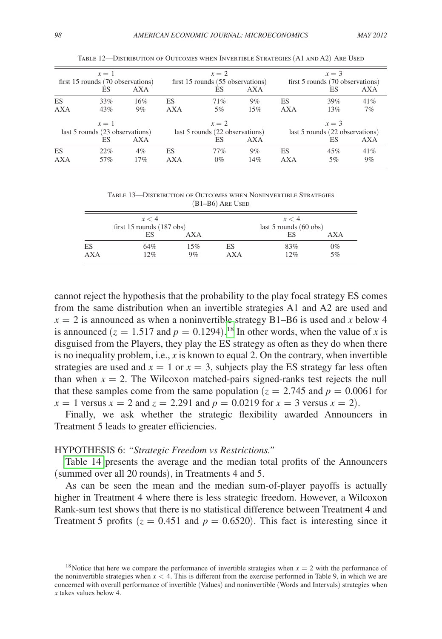<span id="page-21-0"></span>

| $x=1$<br>first 15 rounds (70 observations) |       |       | $x = 2$<br>first 15 rounds (55 observations) |         |     | $x = 3$<br>first 5 rounds (70 observations) |         |     |
|--------------------------------------------|-------|-------|----------------------------------------------|---------|-----|---------------------------------------------|---------|-----|
|                                            | ES    | AXA   |                                              | ES      | AXA |                                             | ES      | AXA |
| <b>ES</b>                                  | 33%   | 16%   | ES                                           | 71%     | 9%  | ES                                          | 39%     | 41% |
| <b>AXA</b>                                 | 43%   | 9%    | <b>AXA</b>                                   | 5%      | 15% | <b>AXA</b>                                  | 13%     | 7%  |
|                                            | $x=1$ |       |                                              | $x = 2$ |     |                                             | $x = 3$ |     |
| last 5 rounds (23 observations)            |       |       | last 5 rounds (22 observations)              |         |     | last 5 rounds (22 observations)             |         |     |
|                                            | ES    | AXA   |                                              | ES      | AXA |                                             | ES      | AXA |
| <b>ES</b>                                  | 22%   | $4\%$ | ES                                           | $77\%$  | 9%  | ES                                          | 45%     | 41% |
| <b>AXA</b>                                 | 57%   | 17%   | AXA                                          | $0\%$   | 14% | <b>AXA</b>                                  | 5%      | 9%  |

Table 12—Distribution of Outcomes when Invertible Strategies (A1 and A2) Are Used

Table 13—Distribution of Outcomes when Noninvertible Strategies (B1–B6) Are Used

|            | x < 4                         |     |            | x < 4                  |       |  |
|------------|-------------------------------|-----|------------|------------------------|-------|--|
|            | first $15$ rounds $(187$ obs) |     |            | last 5 rounds (60 obs) |       |  |
|            | ES                            | AXA |            | ES                     | AXA   |  |
| ES         | 64%                           | 15% | ES         | 83%                    | $0\%$ |  |
| <b>AXA</b> | 12%                           | 9%  | <b>AXA</b> | 12%                    | 5%    |  |

cannot reject the hypothesis that the probability to the play focal strategy ES comes from the same distribution when an invertible strategies A1 and A2 are used and  $x = 2$  is announced as when a noninvertible strategy B1–B6 is used and *x* below 4 is announced ( $z = 1.517$  and  $p = 0.1294$ ).<sup>[18](#page-21-1)</sup> In other words, when the value of *x* is disguised from the Players, they play the ES strategy as often as they do when there is no inequality problem, i.e., *x* is known to equal 2. On the contrary, when invertible strategies are used and  $x = 1$  or  $x = 3$ , subjects play the ES strategy far less often than when  $x = 2$ . The Wilcoxon matched-pairs signed-ranks test rejects the null that these samples come from the same population ( $z = 2.745$  and  $p = 0.0061$  for *x* = 1 versus *x* = 2 and *z* = 2.291 and *p* = 0.0219 for *x* = 3 versus *x* = 2).

Finally, we ask whether the strategic flexibility awarded Announcers in Treatment 5 leads to greater efficiencies.

### Hypothesis 6: *"Strategic Freedom vs Restrictions."*

[Table 14](#page-22-0) presents the average and the median total profits of the Announcers (summed over all 20 rounds), in Treatments 4 and 5.

As can be seen the mean and the median sum-of-player payoffs is actually higher in Treatment 4 where there is less strategic freedom. However, a Wilcoxon Rank-sum test shows that there is no statistical difference between Treatment 4 and Treatment 5 profits  $(z = 0.451$  and  $p = 0.6520$ . This fact is interesting since it

<span id="page-21-1"></span><sup>&</sup>lt;sup>18</sup>Notice that here we compare the performance of invertible strategies when  $x = 2$  with the performance of the noninvertible strategies when *x* < 4. This is different from the exercise performed in Table 9, in which we are concerned with overall performance of invertible (Values) and noninvertible (Words and Intervals) strategies when *x* takes values below 4.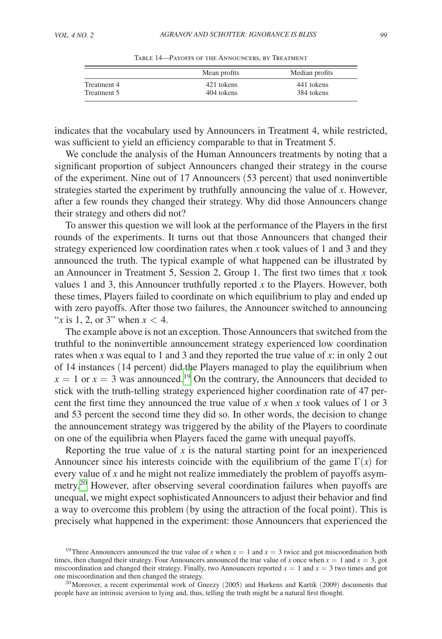<span id="page-22-0"></span>Mean profits Median profits Treatment 4 **421 tokens** 421 tokens 441 tokens Treatment 5 384 tokens 384 tokens

Table 14—Payoffs of the Announcers, by Treatment

indicates that the vocabulary used by Announcers in Treatment 4, while restricted, was sufficient to yield an efficiency comparable to that in Treatment 5.

We conclude the analysis of the Human Announcers treatments by noting that a significant proportion of subject Announcers changed their strategy in the course of the experiment. Nine out of 17 Announcers (53 percent) that used noninvertible strategies started the experiment by truthfully announcing the value of *x*. However, after a few rounds they changed their strategy. Why did those Announcers change their strategy and others did not?

To answer this question we will look at the performance of the Players in the first rounds of the experiments. It turns out that those Announcers that changed their strategy experienced low coordination rates when *x* took values of 1 and 3 and they announced the truth. The typical example of what happened can be illustrated by an Announcer in Treatment 5, Session 2, Group 1. The first two times that *x* took values 1 and 3, this Announcer truthfully reported  $x$  to the Players. However, both these times, Players failed to coordinate on which equilibrium to play and ended up with zero payoffs. After those two failures, the Announcer switched to announcing "*x* is 1, 2, or 3" when  $x < 4$ .

The example above is not an exception. Those Announcers that switched from the truthful to the noninvertible announcement strategy experienced low coordination rates when *x* was equal to 1 and 3 and they reported the true value of *x*: in only 2 out of 14 instances (14 percent) did the Players managed to play the equilibrium when  $x = 1$  or  $x = 3$  was announced.<sup>19</sup> On the contrary, the Announcers that decided to stick with the truth-telling strategy experienced higher coordination rate of 47 percent the first time they announced the true value of *x* when *x* took values of 1 or 3 and 53 percent the second time they did so. In other words, the decision to change the announcement strategy was triggered by the ability of the Players to coordinate on one of the equilibria when Players faced the game with unequal payoffs.

Reporting the true value of  $x$  is the natural starting point for an inexperienced Announcer since his interests coincide with the equilibrium of the game  $\Gamma(x)$  for every value of *x* and he might not realize immediately the problem of payoffs asymmetry.[20](#page-22-2) However, after observing several coordination failures when payoffs are unequal, we might expect sophisticated Announcers to adjust their behavior and find a way to overcome this problem (by using the attraction of the focal point). This is precisely what happened in the experiment: those Announcers that experienced the

<span id="page-22-1"></span><sup>&</sup>lt;sup>19</sup>Three Announcers announced the true value of *x* when  $x = 1$  and  $x = 3$  twice and got miscoordination both times, then changed their strategy. Four Announcers announced the true value of *x* once when  $x = 1$  and  $x = 3$ , got miscoordination and changed their strategy. Finally, two Announcers reported  $x = 1$  and  $x = 3$  two times and got one miscoordination and then changed the strategy.

<span id="page-22-2"></span><sup>&</sup>lt;sup>20</sup> Moreover, a recent experimental work of Gneezy (2005) and Hurkens and Kartik (2009) documents that people have an intrinsic aversion to lying and, thus, telling the truth might be a natural first thought.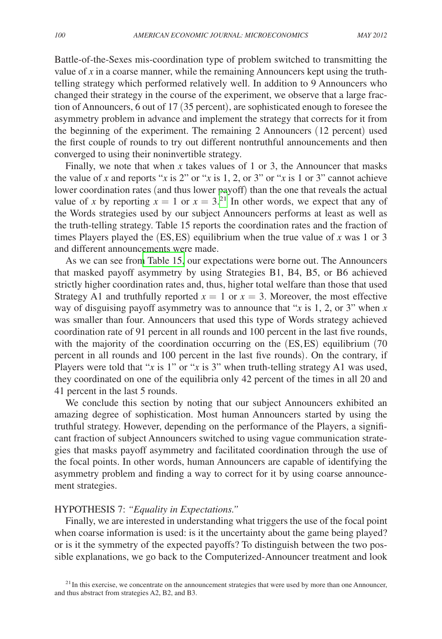Battle-of-the-Sexes mis-coordination type of problem switched to transmitting the value of  $x$  in a coarse manner, while the remaining Announcers kept using the truthtelling strategy which performed relatively well. In addition to 9 Announcers who changed their strategy in the course of the experiment, we observe that a large fraction of Announcers, 6 out of 17 (35 percent), are sophisticated enough to foresee the asymmetry problem in advance and implement the strategy that corrects for it from the beginning of the experiment. The remaining 2 Announcers (12 percent) used the first couple of rounds to try out different nontruthful announcements and then converged to using their noninvertible strategy.

Finally, we note that when  $x$  takes values of 1 or 3, the Announcer that masks the value of *x* and reports "*x* is 2" or "*x* is 1, 2, or 3" or "*x* is 1 or 3" cannot achieve lower coordination rates (and thus lower payoff) than the one that reveals the actual value of *x* by reporting  $x = 1$  or  $x = 3$ .<sup>21</sup> In other words, we expect that any of the Words strategies used by our subject Announcers performs at least as well as the truth-telling strategy. Table 15 reports the coordination rates and the fraction of times Players played the  $(ES, ES)$  equilibrium when the true value of  $x$  was 1 or 3 and different announcements were made.

As we can see fro[m Table 15,](#page-24-0) our expectations were borne out. The Announcers that masked payoff asymmetry by using Strategies B1, B4, B5, or B6 achieved strictly higher coordination rates and, thus, higher total welfare than those that used Strategy A1 and truthfully reported  $x = 1$  or  $x = 3$ . Moreover, the most effective way of disguising payoff asymmetry was to announce that "*x* is 1, 2, or 3" when *x* was smaller than four. Announcers that used this type of Words strategy achieved coordination rate of 91 percent in all rounds and 100 percent in the last five rounds, with the majority of the coordination occurring on the (ES, ES) equilibrium (70 percent in all rounds and 100 percent in the last five rounds). On the contrary, if Players were told that " $x$  is 1" or " $x$  is 3" when truth-telling strategy A1 was used, they coordinated on one of the equilibria only 42 percent of the times in all 20 and 41 percent in the last 5 rounds.

We conclude this section by noting that our subject Announcers exhibited an amazing degree of sophistication. Most human Announcers started by using the truthful strategy. However, depending on the performance of the Players, a significant fraction of subject Announcers switched to using vague communication strategies that masks payoff asymmetry and facilitated coordination through the use of the focal points. In other words, human Announcers are capable of identifying the asymmetry problem and finding a way to correct for it by using coarse announcement strategies.

#### Hypothesis 7: *"Equality in Expectations."*

Finally, we are interested in understanding what triggers the use of the focal point when coarse information is used: is it the uncertainty about the game being played? or is it the symmetry of the expected payoffs? To distinguish between the two possible explanations, we go back to the Computerized-Announcer treatment and look

<span id="page-23-0"></span><sup>&</sup>lt;sup>21</sup> In this exercise, we concentrate on the announcement strategies that were used by more than one Announcer, and thus abstract from strategies A2, B2, and B3.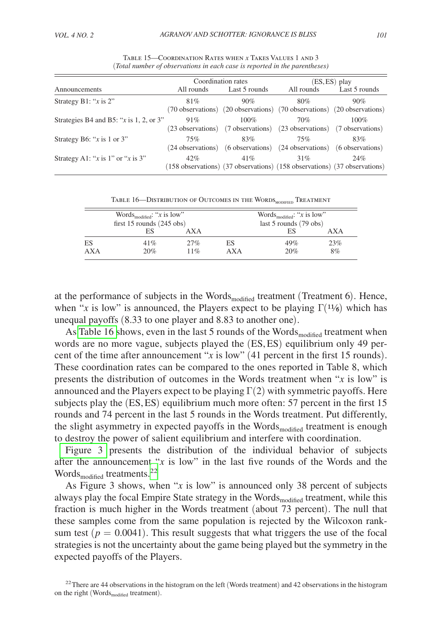<span id="page-24-0"></span>

|                                            |            | Coordination rates | (ES, ES) play                                                                    |               |  |
|--------------------------------------------|------------|--------------------|----------------------------------------------------------------------------------|---------------|--|
| Announcements                              | All rounds | Last 5 rounds      | All rounds                                                                       | Last 5 rounds |  |
| Strategy B1: " $x$ is 2"                   | 81%        | 90%                | 80%<br>(70 observations) (20 observations) (70 observations) (20 observations)   | 90%           |  |
| Strategies B4 and B5: " $x$ is 1, 2, or 3" | 91%        | $100\%$            | 70%<br>(23 observations) (7 observations) (23 observations) (7 observations)     | $100\%$       |  |
| Strategy B6: " $x$ is 1 or 3"              | 75%        | 83%                | 75%<br>(24 observations) (6 observations) (24 observations) (6 observations)     | 83%           |  |
| Strategy A1: " $x$ is 1" or " $x$ is 3"    | 42%        | 41%                | 31%<br>(158 observations) (37 observations) (158 observations) (37 observations) | 24%           |  |

Table 15—Coordination Rates when *x* Takes Values 1 and 3 (*Total number of observations in each case is reported in the parentheses)*

TABLE 16—DISTRIBUTION OF OUTCOMES IN THE WORDS<sub>MODIFIED</sub> TREATMENT

|     | Words <sub>modified</sub> : " $x$ is low" |     |     | Words <sub>modified</sub> : " $x$ is low" |     |  |  |
|-----|-------------------------------------------|-----|-----|-------------------------------------------|-----|--|--|
|     | first $15$ rounds $(245$ obs)             |     |     | last $5$ rounds $(79$ obs)                |     |  |  |
|     | ES                                        | AXA |     | ES                                        | AXA |  |  |
| ES  | 41%                                       | 27% | ES  | 49%                                       | 23% |  |  |
| AXA | 20%                                       | 11% | AXA | 20%                                       | 8%  |  |  |

at the performance of subjects in the Words<sub>modified</sub> treatment (Treatment 6). Hence, when "*x* is low" is announced, the Players expect to be playing  $\Gamma(1/6)$  which has unequal payoffs (8.33 to one player and 8.83 to another one).

As Table 16 shows, even in the last 5 rounds of the Words $_{\rm modified}$  treatment when words are no more vague, subjects played the (ES,ES) equilibrium only 49 percent of the time after announcement " $x$  is low" (41 percent in the first 15 rounds). These coordination rates can be compared to the ones reported in Table 8, which presents the distribution of outcomes in the Words treatment when "*x* is low" is announced and the Players expect to be playing  $\Gamma(2)$  with symmetric payoffs. Here subjects play the  $(ES, ES)$  equilibrium much more often: 57 percent in the first 15 rounds and 74 percent in the last 5 rounds in the Words treatment. Put differently, the slight asymmetry in expected payoffs in the Words<sub>modified</sub> treatment is enough to destroy the power of salient equilibrium and interfere with coordination.

[Figure 3](#page-25-0) presents the distribution of the individual behavior of subjects after the announcement " $x$  is low" in the last five rounds of the Words and the Words<sub>modified</sub> treatments.<sup>22</sup>

As Figure 3 shows, when "*x* is low" is announced only 38 percent of subjects always play the focal Empire State strategy in the Words<sub>modified</sub> treatment, while this fraction is much higher in the Words treatment (about 73 percent). The null that these samples come from the same population is rejected by the Wilcoxon ranksum test  $(p = 0.0041)$ . This result suggests that what triggers the use of the focal strategies is not the uncertainty about the game being played but the symmetry in the expected payoffs of the Players.

<span id="page-24-1"></span><sup>&</sup>lt;sup>22</sup>There are 44 observations in the histogram on the left (Words treatment) and 42 observations in the histogram on the right (Words $_{modified}$  treatment).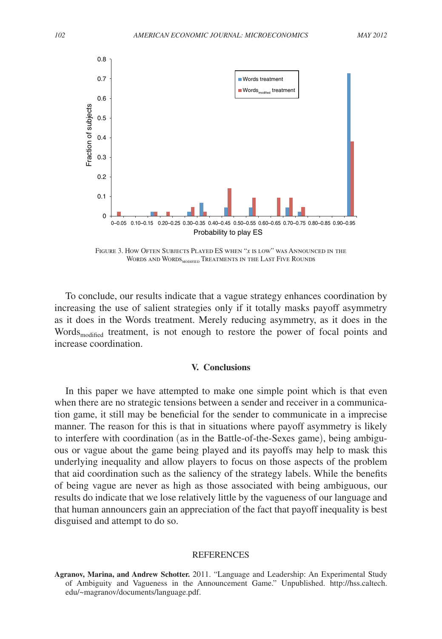<span id="page-25-0"></span>

Figure 3. How Often Subjects Played ES when "*x* is low" was Announced in the WORDS AND WORDS<sub>MODIFIED</sub> TREATMENTS IN THE LAST FIVE ROUNDS

To conclude, our results indicate that a vague strategy enhances coordination by increasing the use of salient strategies only if it totally masks payoff asymmetry as it does in the Words treatment. Merely reducing asymmetry, as it does in the Words<sub>modified</sub> treatment, is not enough to restore the power of focal points and increase coordination.

#### **V. Conclusions**

In this paper we have attempted to make one simple point which is that even when there are no strategic tensions between a sender and receiver in a communication game, it still may be beneficial for the sender to communicate in a imprecise manner. The reason for this is that in situations where payoff asymmetry is likely to interfere with coordination (as in the Battle-of-the-Sexes game), being ambiguous or vague about the game being played and its payoffs may help to mask this underlying inequality and allow players to focus on those aspects of the problem that aid coordination such as the saliency of the strategy labels. While the benefits of being vague are never as high as those associated with being ambiguous, our results do indicate that we lose relatively little by the vagueness of our language and that human announcers gain an appreciation of the fact that payoff inequality is best disguised and attempt to do so.

#### **REFERENCES**

**Agranov, Marina, and Andrew Schotter.** 2011. "Language and Leadership: An Experimental Study of Ambiguity and Vagueness in the Announcement Game." Unpublished. [http://hss.caltech.](http://hss.caltech.edu/~magranov/documents/language.pdf) [edu/~magranov/documents/language.pdf.](http://hss.caltech.edu/~magranov/documents/language.pdf)